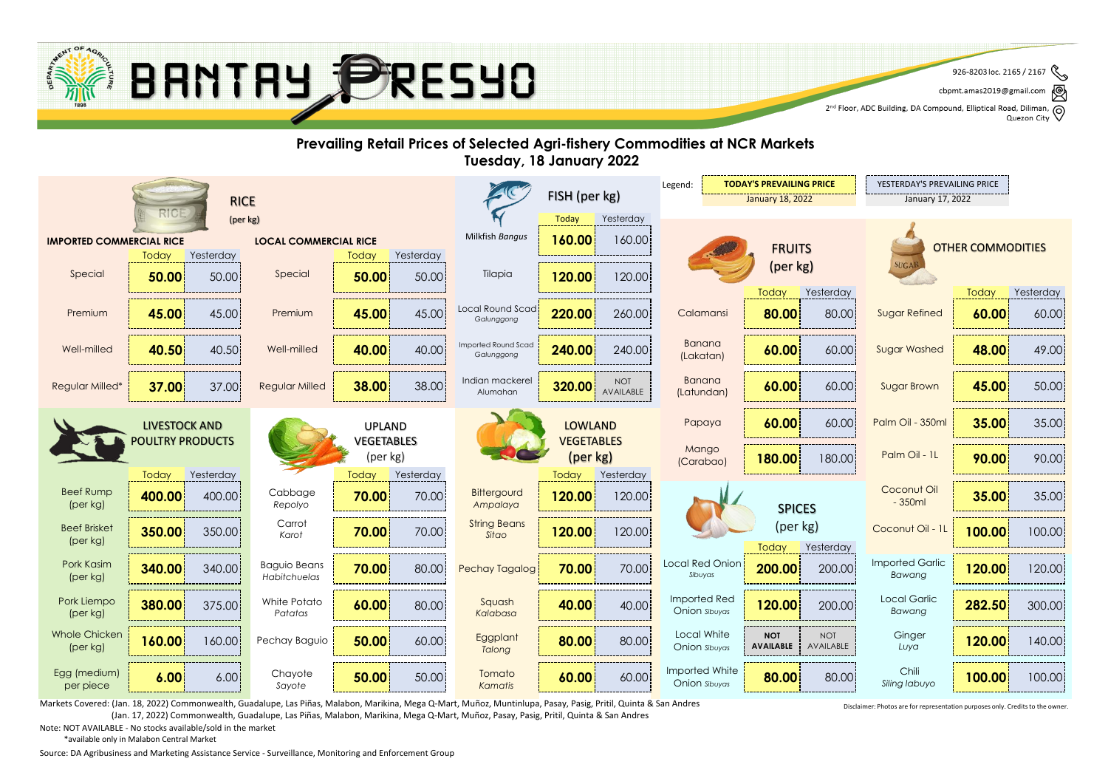

cbpmt.amas2019@gmail.com ☝

2<sup>nd</sup> Floor, ADC Building, DA Compound, Elliptical Road, Diliman, Q<br>2<sup>nd</sup> Floor, ADC Building, DA Compound, Elliptical Road, Diliman, Q Quezon City

#### **Prevailing Retail Prices of Selected Agri-fishery Commodities at NCR Markets Tuesday, 18 January 2022 TODAY'S PREVAILING PRICE F** YESTERDAY'S PREVAILING PRICE Legend: FISH (per kg) RICE January 18, 2022 January 17, 2022 (per kg) Today Yesterday **160.00** Milkfish *Bangus* 160.00 **IMPORTED COMMERCIAL RICE LOCAL COMMERCIAL RICE** OTHER COMMODITIES **FRUITS** Today Yesterday Yesterday **Today** (per kg) **SUGA** 50.00 **120.00** 120.00 Special Special Tilapia **50.00 50.00** 50.00 Today Yesterday Today Yesterday Local Round Scad Premium Premium Calamansi Sugar Refined **45.00** 45.00 **45.00** 45.00 **220.00** 260.00 **80.00** 80.00 **60.00** 60.00 *Galunggong* Banana Imported Round Scad Well-milled **40.50** 40.50 **40.00** 40.00 **240.00** 240.00 **60.00** 60.00 **48.00** 49.00 Well-milled **40.00 40.00 Well-milled 40.00 40.00 1240.00 1240.00 1240.00 1240.00 1240.00 1240.00 1240.00 1240.00 1240.00 1240.00 1240.00 1240.00 1240.00 1240.00 1240.00 1240.00 1240.00 1240.00 1240.00 1240.00 1240.00 1240.** *Galunggong* (Lakatan) Banana  $\text{Regular}$  Milled  $\begin{array}{|c|c|c|c|c|c|}\n\hline\n\text{88.00} & \text{38.00} & \text{Indian market} \\
\hline\n\end{array}$ **37.00** 37.00 **Regular Milled 38.00** 38.00 **100 Alumahan** 320.00 **320.00 100T** Regular Milled\* **AVAILABLE | BUTIGHIGH | 60.00** 60.00 **60.00 \$Ugar Brown | 45.00** 50.00  $\begin{array}{|c|c|c|c|c|c|}\n\hline \end{array}$  **60.00** 60.00 Sugar Brown Alumahan Papaya **60.00** 60.00 **Palm Oil - 350ml 35.00** 35.00 LIVESTOCK AND LOWLAND UPLAND POULTRY PRODUCTS VEGETABLES VEGETABLES **Mango** (per kg) Palm Oil - 1L (per kg) **180.00** 180.00 **Palm Oil - 1L | 90.00** 90.00 (Carabao) Today Yesterday Today Yesterday **Today** Yesterday Coconut Oil Beef Rump Cabbage **Bittergourd 400.00** 400.00 **70.00** 70.00 **120.00** 120.00 **35.00** 35.00 - 350ml (per kg) *Repolyo Ampalaya* SPICES Carrot String Beans (per kg) **Beef Brisket** Coconut Oil - 11 **70.00** 70.00 **120.00 100.00 350.00** 350.00 Karof **70.00** 70.00 360.00 120.00 120.00 120.00 120.00 120.00 120.00 120 Karof 100.00 100.00 120.00 *Karot Sitao* (per kg) Today Yesterday Imported Garlic Pork Kasim Baguio Beans Local Red Onion **340.00** 340.00 **70.00** 80.00 **70.00** 70.00 **200.00** 200.00 **120.00** 120.00 Pechay Tagalog *Sibuyas Bawang* (per kg) *Habitchuelas* Imported Red White Potato Local Garlic Pork Liempo Sauash **380.00** 375.00 **60.00** 80.00 **40.00** 40.00 **120.00** 200.00 **282.50** 300.00 Onion *Sibuyas Bawang* (per kg) *Patatas Kalabasa* Whole Chicken Local White NOT **Ginger Eggplant 160.00** 160.00 **Pechay Baguio 50.00** 60.00 **Eggplant 80.00** 80.00 **Bullar** NOT **BOOT** Pechay Baguio **AVAILABLE 1** Uniger **120.00** 140.00 (per kg) Onion *Sibuyas* **AVAILABLE** *Luya Talong* Imported White Chili Egg (medium) Chavote Tomato **6.00** 6.00 **50.00** 50.00 **60.00** 60.00 **80.00** 80.00 **100.00** 100.00 Onion *Sibuyas Siling labuyo* per piece *Sayote Kamatis*

Markets Covered: (Jan. 18, 2022) Commonwealth, Guadalupe, Las Piñas, Malabon, Marikina, Mega Q-Mart, Muñoz, Muntinlupa, Pasay, Pasig, Pritil, Quinta & San Andres (Jan. 17, 2022) Commonwealth, Guadalupe, Las Piñas, Malabon, Marikina, Mega Q-Mart, Muñoz, Pasay, Pasig, Pritil, Quinta & San Andres

Disclaimer: Photos are for representation purposes only. Credits to the owner.

Note: NOT AVAILABLE - No stocks available/sold in the market

\*available only in Malabon Central Market

Source: DA Agribusiness and Marketing Assistance Service - Surveillance, Monitoring and Enforcement Group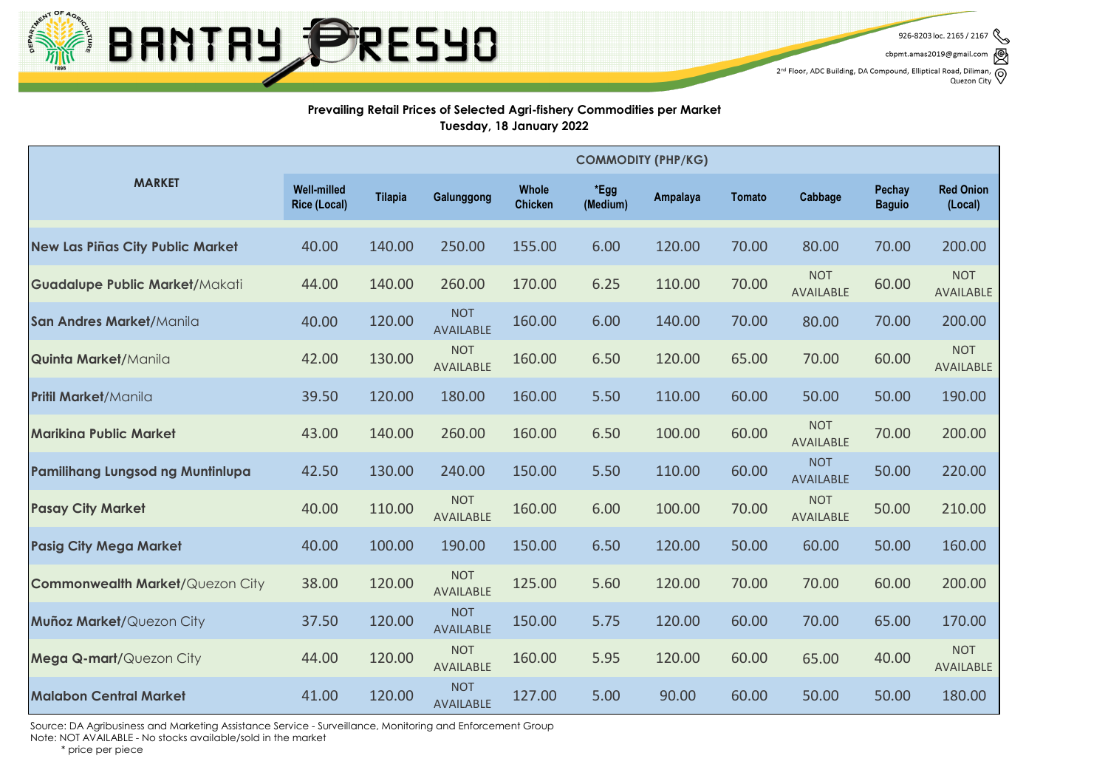

926-8203 loc. 2165 / 2167 cbpmt.amas2019@gmail.com  $2^{nd}$  Floor, ADC Building, DA Compound, Elliptical Road, Diliman, Quezon City

### **Prevailing Retail Prices of Selected Agri-fishery Commodities per Market Tuesday, 18 January 2022**

|                                         | <b>COMMODITY (PHP/KG)</b>                 |                |                                |                         |                  |          |               |                                |                         |                             |
|-----------------------------------------|-------------------------------------------|----------------|--------------------------------|-------------------------|------------------|----------|---------------|--------------------------------|-------------------------|-----------------------------|
| <b>MARKET</b>                           | <b>Well-milled</b><br><b>Rice (Local)</b> | <b>Tilapia</b> | Galunggong                     | Whole<br><b>Chicken</b> | *Egg<br>(Medium) | Ampalaya | <b>Tomato</b> | Cabbage                        | Pechay<br><b>Baguio</b> | <b>Red Onion</b><br>(Local) |
| <b>New Las Piñas City Public Market</b> | 40.00                                     | 140.00         | 250.00                         | 155.00                  | 6.00             | 120.00   | 70.00         | 80.00                          | 70.00                   | 200.00                      |
| <b>Guadalupe Public Market/Makati</b>   | 44.00                                     | 140.00         | 260.00                         | 170.00                  | 6.25             | 110.00   | 70.00         | <b>NOT</b><br><b>AVAILABLE</b> | 60.00                   | <b>NOT</b><br>AVAILABLE     |
| San Andres Market/Manila                | 40.00                                     | 120.00         | <b>NOT</b><br><b>AVAILABLE</b> | 160.00                  | 6.00             | 140.00   | 70.00         | 80.00                          | 70.00                   | 200.00                      |
| <b>Quinta Market/Manila</b>             | 42.00                                     | 130.00         | <b>NOT</b><br>AVAILABLE        | 160.00                  | 6.50             | 120.00   | 65.00         | 70.00                          | 60.00                   | <b>NOT</b><br>AVAILABLE     |
| <b>Pritil Market/Manila</b>             | 39.50                                     | 120.00         | 180.00                         | 160.00                  | 5.50             | 110.00   | 60.00         | 50.00                          | 50.00                   | 190.00                      |
| <b>Marikina Public Market</b>           | 43.00                                     | 140.00         | 260.00                         | 160.00                  | 6.50             | 100.00   | 60.00         | <b>NOT</b><br>AVAILABLE        | 70.00                   | 200.00                      |
| Pamilihang Lungsod ng Muntinlupa        | 42.50                                     | 130.00         | 240.00                         | 150.00                  | 5.50             | 110.00   | 60.00         | <b>NOT</b><br>AVAILABLE        | 50.00                   | 220.00                      |
| <b>Pasay City Market</b>                | 40.00                                     | 110.00         | <b>NOT</b><br>AVAILABLE        | 160.00                  | 6.00             | 100.00   | 70.00         | <b>NOT</b><br><b>AVAILABLE</b> | 50.00                   | 210.00                      |
| <b>Pasig City Mega Market</b>           | 40.00                                     | 100.00         | 190.00                         | 150.00                  | 6.50             | 120.00   | 50.00         | 60.00                          | 50.00                   | 160.00                      |
| <b>Commonwealth Market/Quezon City</b>  | 38.00                                     | 120.00         | <b>NOT</b><br>AVAILABLE        | 125.00                  | 5.60             | 120.00   | 70.00         | 70.00                          | 60.00                   | 200.00                      |
| Muñoz Market/Quezon City                | 37.50                                     | 120.00         | <b>NOT</b><br><b>AVAILABLE</b> | 150.00                  | 5.75             | 120.00   | 60.00         | 70.00                          | 65.00                   | 170.00                      |
| Mega Q-mart/Quezon City                 | 44.00                                     | 120.00         | <b>NOT</b><br>AVAILABLE        | 160.00                  | 5.95             | 120.00   | 60.00         | 65.00                          | 40.00                   | <b>NOT</b><br>AVAILABLE     |
| <b>Malabon Central Market</b>           | 41.00                                     | 120.00         | <b>NOT</b><br><b>AVAILABLE</b> | 127.00                  | 5.00             | 90.00    | 60.00         | 50.00                          | 50.00                   | 180.00                      |

Source: DA Agribusiness and Marketing Assistance Service - Surveillance, Monitoring and Enforcement Group Note: NOT AVAILABLE - No stocks available/sold in the market

\* price per piece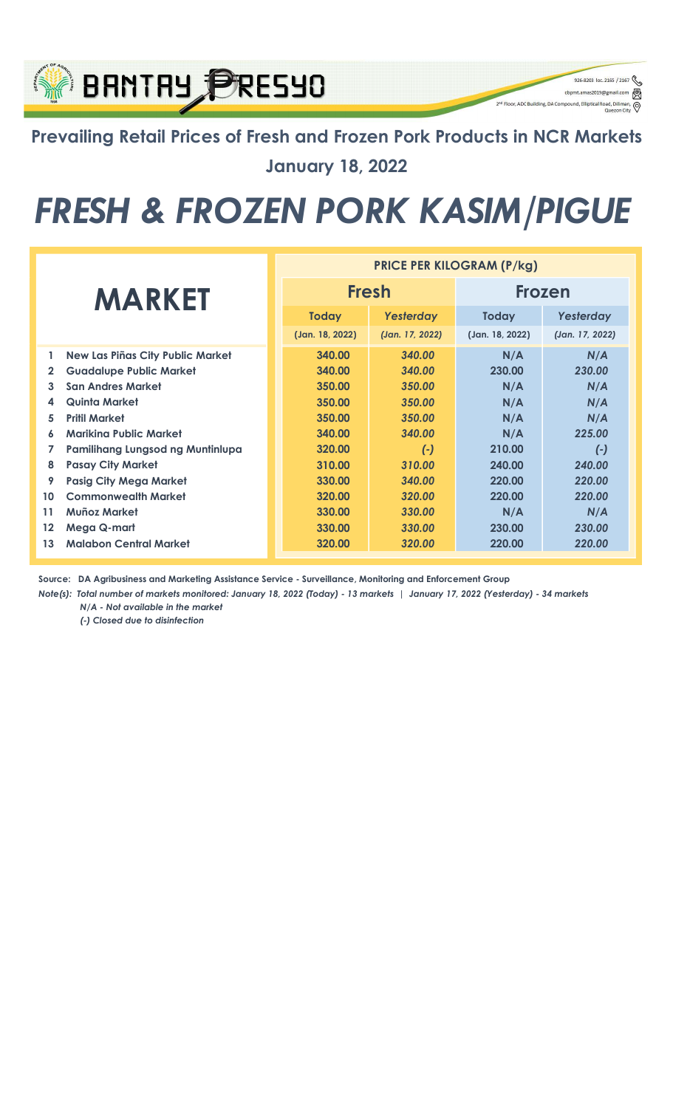## Prevailing Retail Prices of Fresh and Frozen Pork Products in NCR Markets January 18, 2022

926-8203 loc. 2165 / 2167

q

⊚

cbpmt.amas2019@gn

2<sup>nd</sup> Floor, ADC Building, DA Compound, Elliptical Re

**BRNTRY PRESYO** 

## FRESH & FROZEN PORK KASIM/PIGUE

|                   |                                         | <b>PRICE PER KILOGRAM (P/kg)</b> |                 |                 |                 |  |  |
|-------------------|-----------------------------------------|----------------------------------|-----------------|-----------------|-----------------|--|--|
| <b>MARKET</b>     |                                         | <b>Fresh</b>                     |                 | <b>Frozen</b>   |                 |  |  |
|                   |                                         | <b>Today</b>                     | Yesterday       | <b>Today</b>    | Yesterday       |  |  |
|                   |                                         | (Jan. 18, 2022)                  | (Jan. 17, 2022) | (Jan. 18, 2022) | (Jan. 17, 2022) |  |  |
| 1                 | <b>New Las Piñas City Public Market</b> | 340.00                           | 340.00          | N/A             | N/A             |  |  |
| $\mathbf{2}$      | <b>Guadalupe Public Market</b>          | 340.00                           | 340.00          | 230.00          | 230.00          |  |  |
| 3.                | <b>San Andres Market</b>                | 350.00                           | 350.00          | N/A             | N/A             |  |  |
| 4                 | Quinta Market                           | 350.00                           | 350.00          | N/A             | N/A             |  |  |
| 5                 | <b>Pritil Market</b>                    | 350.00                           | 350.00          | N/A             | N/A             |  |  |
| 6                 | <b>Mariking Public Market</b>           | 340.00                           | 340.00          | N/A             | 225.00          |  |  |
| 7                 | Pamilihang Lungsod ng Muntinlupa        | 320.00                           | $(-)$           | 210.00          | $(-)$           |  |  |
| 8                 | <b>Pasay City Market</b>                | 310.00                           | 310.00          | 240.00          | 240.00          |  |  |
| 9                 | <b>Pasig City Mega Market</b>           | 330.00                           | 340.00          | 220.00          | 220.00          |  |  |
| 10                | <b>Commonwealth Market</b>              | 320.00                           | 320.00          | 220.00          | 220.00          |  |  |
| 11                | Muñoz Market                            | 330.00                           | 330.00          | N/A             | N/A             |  |  |
| $12 \overline{ }$ | <b>Mega Q-mart</b>                      | 330.00                           | 330.00          | 230.00          | 230.00          |  |  |
| 13                | <b>Malabon Central Market</b>           | 320.00                           | 320.00          | 220.00          | 220.00          |  |  |

Source: DA Agribusiness and Marketing Assistance Service - Surveillance, Monitoring and Enforcement Group

Note(s): Total number of markets monitored: January 18, 2022 (Today) - 13 markets | January 17, 2022 (Yesterday) - 34 markets N/A - Not available in the market

(-) Closed due to disinfection